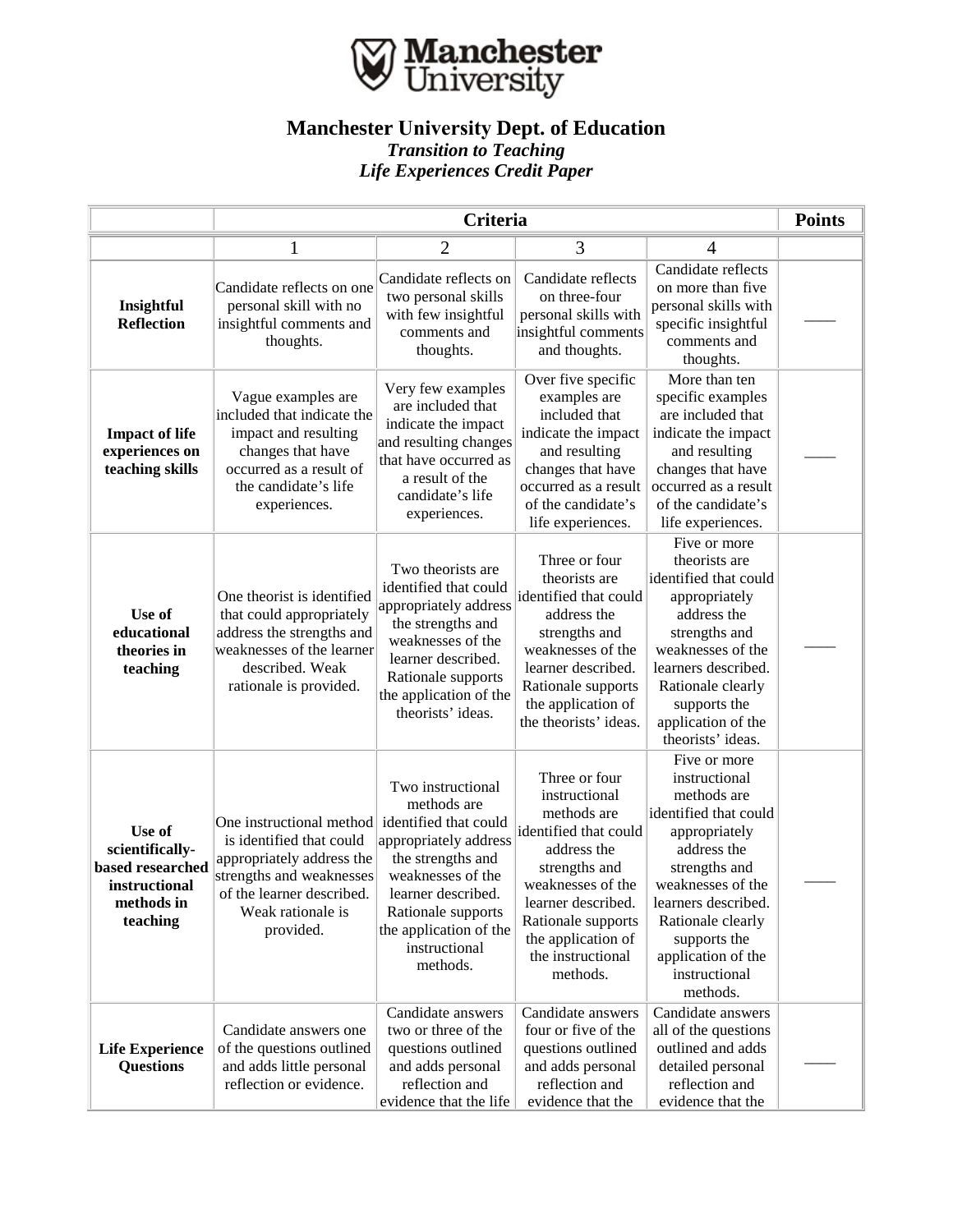

## **Manchester University Dept. of Education** *Transition to Teaching Life Experiences Credit Paper*

|                                                                                          | Criteria                                                                                                                                                                     |                                                                                                                                                                                                                                 |                                                                                                                                                                                                                                |                                                                                                                                                                                                                                                            |  |
|------------------------------------------------------------------------------------------|------------------------------------------------------------------------------------------------------------------------------------------------------------------------------|---------------------------------------------------------------------------------------------------------------------------------------------------------------------------------------------------------------------------------|--------------------------------------------------------------------------------------------------------------------------------------------------------------------------------------------------------------------------------|------------------------------------------------------------------------------------------------------------------------------------------------------------------------------------------------------------------------------------------------------------|--|
|                                                                                          |                                                                                                                                                                              | 2                                                                                                                                                                                                                               | 3                                                                                                                                                                                                                              | 4                                                                                                                                                                                                                                                          |  |
| Insightful<br><b>Reflection</b>                                                          | Candidate reflects on one<br>personal skill with no<br>insightful comments and<br>thoughts.                                                                                  | Candidate reflects on<br>two personal skills<br>with few insightful<br>comments and<br>thoughts.                                                                                                                                | Candidate reflects<br>on three-four<br>personal skills with<br>insightful comments<br>and thoughts.                                                                                                                            | Candidate reflects<br>on more than five.<br>personal skills with<br>specific insightful<br>comments and<br>thoughts.                                                                                                                                       |  |
| <b>Impact of life</b><br>experiences on<br>teaching skills                               | Vague examples are<br>included that indicate the<br>impact and resulting<br>changes that have<br>occurred as a result of<br>the candidate's life<br>experiences.             | Very few examples<br>are included that<br>indicate the impact<br>and resulting changes<br>that have occurred as<br>a result of the<br>candidate's life<br>experiences.                                                          | Over five specific<br>examples are<br>included that<br>indicate the impact<br>and resulting<br>changes that have<br>occurred as a result<br>of the candidate's<br>life experiences.                                            | More than ten<br>specific examples<br>are included that<br>indicate the impact<br>and resulting<br>changes that have<br>occurred as a result<br>of the candidate's<br>life experiences.                                                                    |  |
| Use of<br>educational<br>theories in<br>teaching                                         | One theorist is identified<br>that could appropriately<br>address the strengths and<br>weaknesses of the learner<br>described. Weak<br>rationale is provided.                | Two theorists are<br>identified that could<br>appropriately address<br>the strengths and<br>weaknesses of the<br>learner described.<br>Rationale supports<br>the application of the<br>theorists' ideas.                        | Three or four<br>theorists are<br>identified that could<br>address the<br>strengths and<br>weaknesses of the<br>learner described.<br>Rationale supports<br>the application of<br>the theorists' ideas.                        | Five or more<br>theorists are<br>identified that could<br>appropriately<br>address the<br>strengths and<br>weaknesses of the<br>learners described.<br>Rationale clearly<br>supports the<br>application of the<br>theorists' ideas.                        |  |
| Use of<br>scientifically-<br>based researched<br>instructional<br>methods in<br>teaching | One instructional method<br>is identified that could<br>appropriately address the<br>strengths and weaknesses<br>of the learner described.<br>Weak rationale is<br>provided. | Two instructional<br>methods are<br>identified that could<br>appropriately address<br>the strengths and<br>weaknesses of the<br>learner described.<br>Rationale supports<br>the application of the<br>instructional<br>methods. | Three or four<br>instructional<br>methods are<br>identified that could<br>address the<br>strengths and<br>weaknesses of the<br>learner described.<br>Rationale supports<br>the application of<br>the instructional<br>methods. | Five or more<br>instructional<br>methods are<br>identified that could<br>appropriately<br>address the<br>strengths and<br>weaknesses of the<br>learners described.<br>Rationale clearly<br>supports the<br>application of the<br>instructional<br>methods. |  |
| <b>Life Experience</b><br><b>Questions</b>                                               | Candidate answers one<br>of the questions outlined<br>and adds little personal<br>reflection or evidence.                                                                    | Candidate answers<br>two or three of the<br>questions outlined<br>and adds personal<br>reflection and<br>evidence that the life                                                                                                 | Candidate answers<br>four or five of the<br>questions outlined<br>and adds personal<br>reflection and<br>evidence that the                                                                                                     | Candidate answers<br>all of the questions<br>outlined and adds<br>detailed personal<br>reflection and<br>evidence that the                                                                                                                                 |  |